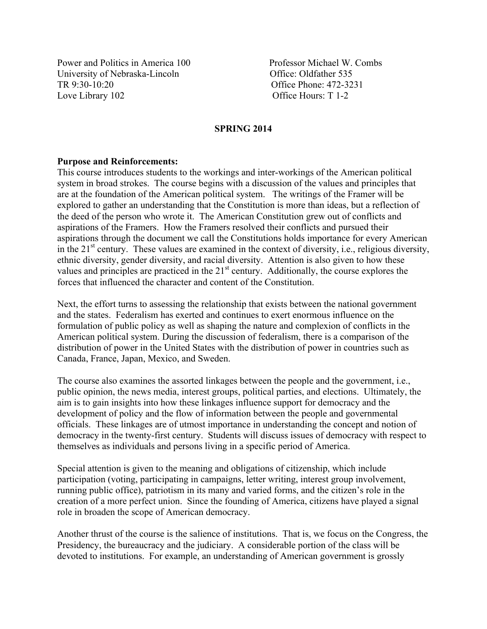Power and Politics in America 100 Professor Michael W. Combs University of Nebraska-Lincoln Office: Oldfather 535 TR 9:30-10:20 Office Phone: 472-3231 Love Library 102 Office Hours: T 1-2

#### **SPRING 2014**

#### **Purpose and Reinforcements:**

This course introduces students to the workings and inter-workings of the American political system in broad strokes. The course begins with a discussion of the values and principles that are at the foundation of the American political system. The writings of the Framer will be explored to gather an understanding that the Constitution is more than ideas, but a reflection of the deed of the person who wrote it. The American Constitution grew out of conflicts and aspirations of the Framers. How the Framers resolved their conflicts and pursued their aspirations through the document we call the Constitutions holds importance for every American in the  $21<sup>st</sup>$  century. These values are examined in the context of diversity, i.e., religious diversity, ethnic diversity, gender diversity, and racial diversity. Attention is also given to how these values and principles are practiced in the 21<sup>st</sup> century. Additionally, the course explores the forces that influenced the character and content of the Constitution.

Next, the effort turns to assessing the relationship that exists between the national government and the states. Federalism has exerted and continues to exert enormous influence on the formulation of public policy as well as shaping the nature and complexion of conflicts in the American political system. During the discussion of federalism, there is a comparison of the distribution of power in the United States with the distribution of power in countries such as Canada, France, Japan, Mexico, and Sweden.

The course also examines the assorted linkages between the people and the government, i.e., public opinion, the news media, interest groups, political parties, and elections. Ultimately, the aim is to gain insights into how these linkages influence support for democracy and the development of policy and the flow of information between the people and governmental officials. These linkages are of utmost importance in understanding the concept and notion of democracy in the twenty-first century. Students will discuss issues of democracy with respect to themselves as individuals and persons living in a specific period of America.

Special attention is given to the meaning and obligations of citizenship, which include participation (voting, participating in campaigns, letter writing, interest group involvement, running public office), patriotism in its many and varied forms, and the citizen's role in the creation of a more perfect union. Since the founding of America, citizens have played a signal role in broaden the scope of American democracy.

Another thrust of the course is the salience of institutions. That is, we focus on the Congress, the Presidency, the bureaucracy and the judiciary. A considerable portion of the class will be devoted to institutions. For example, an understanding of American government is grossly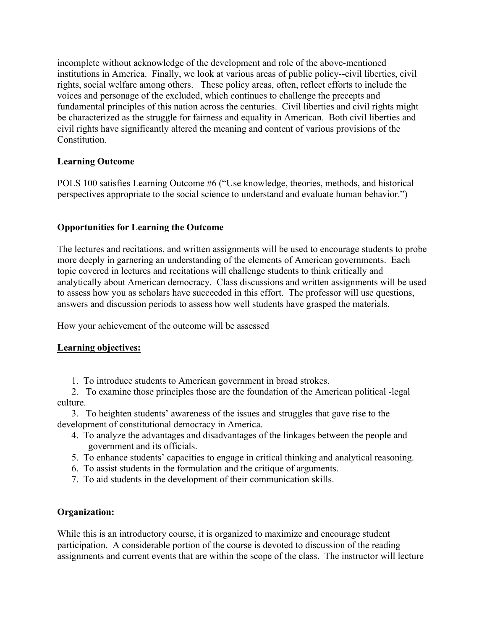incomplete without acknowledge of the development and role of the above-mentioned institutions in America. Finally, we look at various areas of public policy--civil liberties, civil rights, social welfare among others. These policy areas, often, reflect efforts to include the voices and personage of the excluded, which continues to challenge the precepts and fundamental principles of this nation across the centuries. Civil liberties and civil rights might be characterized as the struggle for fairness and equality in American. Both civil liberties and civil rights have significantly altered the meaning and content of various provisions of the **Constitution** 

## **Learning Outcome**

POLS 100 satisfies Learning Outcome #6 ("Use knowledge, theories, methods, and historical perspectives appropriate to the social science to understand and evaluate human behavior.")

# **Opportunities for Learning the Outcome**

The lectures and recitations, and written assignments will be used to encourage students to probe more deeply in garnering an understanding of the elements of American governments. Each topic covered in lectures and recitations will challenge students to think critically and analytically about American democracy. Class discussions and written assignments will be used to assess how you as scholars have succeeded in this effort. The professor will use questions, answers and discussion periods to assess how well students have grasped the materials.

How your achievement of the outcome will be assessed

## **Learning objectives:**

1. To introduce students to American government in broad strokes.

 2. To examine those principles those are the foundation of the American political -legal culture.

 3. To heighten students' awareness of the issues and struggles that gave rise to the development of constitutional democracy in America.

- 4. To analyze the advantages and disadvantages of the linkages between the people and government and its officials.
- 5. To enhance students' capacities to engage in critical thinking and analytical reasoning.
- 6. To assist students in the formulation and the critique of arguments.
- 7. To aid students in the development of their communication skills.

## **Organization:**

While this is an introductory course, it is organized to maximize and encourage student participation. A considerable portion of the course is devoted to discussion of the reading assignments and current events that are within the scope of the class. The instructor will lecture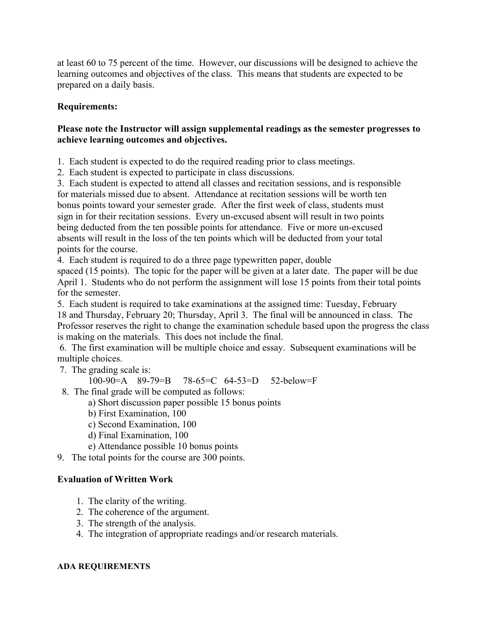at least 60 to 75 percent of the time. However, our discussions will be designed to achieve the learning outcomes and objectives of the class. This means that students are expected to be prepared on a daily basis.

## **Requirements:**

## **Please note the Instructor will assign supplemental readings as the semester progresses to achieve learning outcomes and objectives.**

1. Each student is expected to do the required reading prior to class meetings.

2. Each student is expected to participate in class discussions.

3. Each student is expected to attend all classes and recitation sessions, and is responsible for materials missed due to absent. Attendance at recitation sessions will be worth ten bonus points toward your semester grade. After the first week of class, students must sign in for their recitation sessions. Every un-excused absent will result in two points being deducted from the ten possible points for attendance. Five or more un-excused absents will result in the loss of the ten points which will be deducted from your total points for the course.

4. Each student is required to do a three page typewritten paper, double

spaced (15 points). The topic for the paper will be given at a later date. The paper will be due April 1. Students who do not perform the assignment will lose 15 points from their total points for the semester.

5. Each student is required to take examinations at the assigned time: Tuesday, February 18 and Thursday, February 20; Thursday, April 3. The final will be announced in class. The Professor reserves the right to change the examination schedule based upon the progress the class is making on the materials. This does not include the final.

6. The first examination will be multiple choice and essay. Subsequent examinations will be multiple choices.

7. The grading scale is:

100-90=A 89-79=B 78-65=C 64-53=D 52-below=F

- 8. The final grade will be computed as follows:
	- a) Short discussion paper possible 15 bonus points
	- b) First Examination, 100
	- c) Second Examination, 100
	- d) Final Examination, 100
	- e) Attendance possible 10 bonus points
- 9. The total points for the course are 300 points.

# **Evaluation of Written Work**

- 1. The clarity of the writing.
- 2. The coherence of the argument.
- 3. The strength of the analysis.
- 4. The integration of appropriate readings and/or research materials.

## **ADA REQUIREMENTS**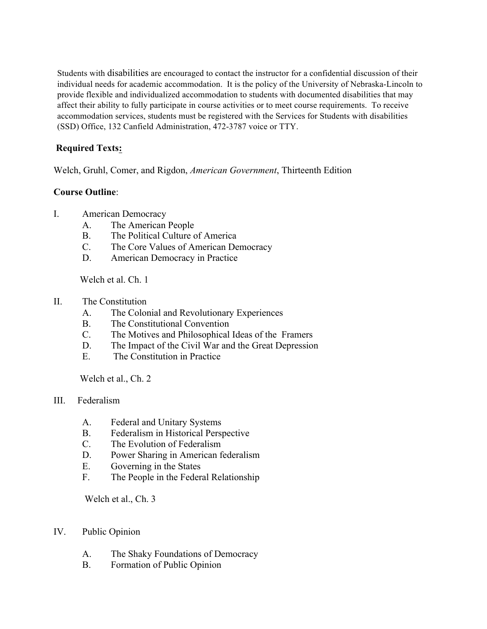Students with disabilities are encouraged to contact the instructor for a confidential discussion of their individual needs for academic accommodation. It is the policy of the University of Nebraska-Lincoln to provide flexible and individualized accommodation to students with documented disabilities that may affect their ability to fully participate in course activities or to meet course requirements. To receive accommodation services, students must be registered with the Services for Students with disabilities (SSD) Office, 132 Canfield Administration, 472-3787 voice or TTY.

# **Required Texts:**

Welch, Gruhl, Comer, and Rigdon, *American Government*, Thirteenth Edition

### **Course Outline**:

- I. American Democracy
	- A. The American People
	- B. The Political Culture of America
	- C. The Core Values of American Democracy
	- D. American Democracy in Practice

Welch et al. Ch. 1

- II. The Constitution
	- A. The Colonial and Revolutionary Experiences
	- B. The Constitutional Convention
	- C. The Motives and Philosophical Ideas of the Framers
	- D. The Impact of the Civil War and the Great Depression
	- E. The Constitution in Practice

Welch et al., Ch. 2

- III. Federalism
	- A. Federal and Unitary Systems
	- B. Federalism in Historical Perspective
	- C. The Evolution of Federalism
	- D. Power Sharing in American federalism
	- E. Governing in the States
	- F. The People in the Federal Relationship

Welch et al., Ch. 3

#### IV. Public Opinion

- A. The Shaky Foundations of Democracy
- B. Formation of Public Opinion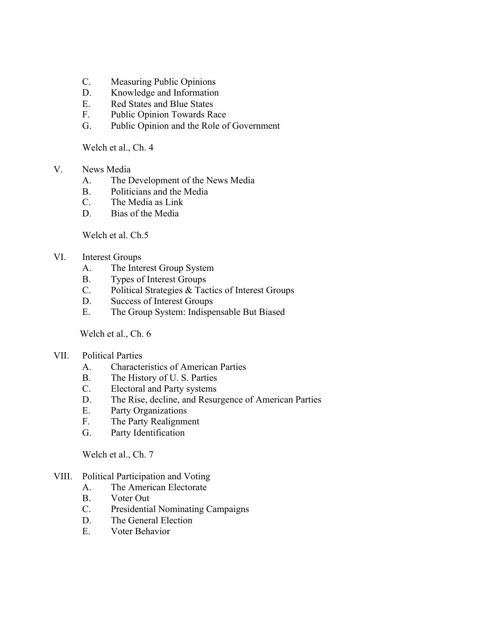- C. Measuring Public Opinions
- D. Knowledge and Information
- E. Red States and Blue States
- F. Public Opinion Towards Race
- G. Public Opinion and the Role of Government

Welch et al., Ch. 4

- V. News Media
	- A. The Development of the News Media
	- B. Politicians and the Media
	- C. The Media as Link
	- D. Bias of the Media

Welch et al. Ch.5

### VI. Interest Groups

- A. The Interest Group System
- B. Types of Interest Groups
- C. Political Strategies & Tactics of Interest Groups
- D. Success of Interest Groups
- E. The Group System: Indispensable But Biased

Welch et al., Ch. 6

- VII. Political Parties
	- A. Characteristics of American Parties
	- B. The History of U. S. Parties
	- C. Electoral and Party systems
	- D. The Rise, decline, and Resurgence of American Parties
	- E. Party Organizations
	- F. The Party Realignment
	- G. Party Identification

Welch et al., Ch. 7

### VIII. Political Participation and Voting

- A. The American Electorate
- B. Voter Out
- C. Presidential Nominating Campaigns
- D. The General Election
- E. Voter Behavior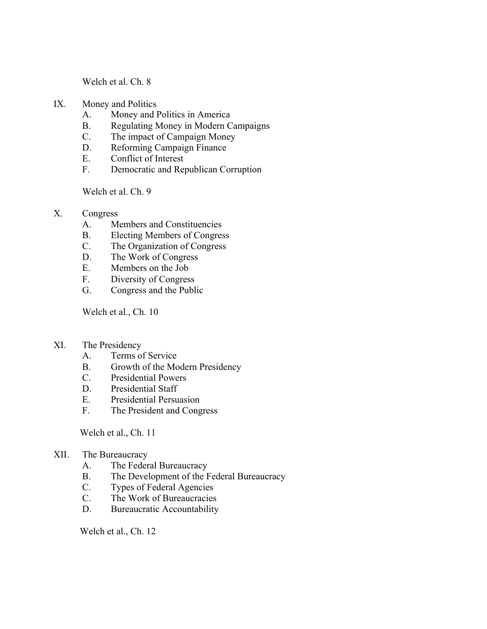Welch et al. Ch. 8

- IX. Money and Politics
	- A. Money and Politics in America
	- B. Regulating Money in Modern Campaigns
	- C. The impact of Campaign Money
	- D. Reforming Campaign Finance
	- E. Conflict of Interest
	- F. Democratic and Republican Corruption

Welch et al. Ch. 9

- X. Congress
	- A. Members and Constituencies
	- B. Electing Members of Congress
	- C. The Organization of Congress
	- D. The Work of Congress
	- E. Members on the Job
	- F. Diversity of Congress
	- G. Congress and the Public

Welch et al., Ch. 10

- XI. The Presidency
	- A. Terms of Service
	- B. Growth of the Modern Presidency
	- C. Presidential Powers
	- D. Presidential Staff
	- E. Presidential Persuasion
	- F. The President and Congress

Welch et al., Ch. 11

#### XII. The Bureaucracy

- A. The Federal Bureaucracy
- B. The Development of the Federal Bureaucracy
- C. Types of Federal Agencies
- C. The Work of Bureaucracies
- D. Bureaucratic Accountability

Welch et al., Ch. 12